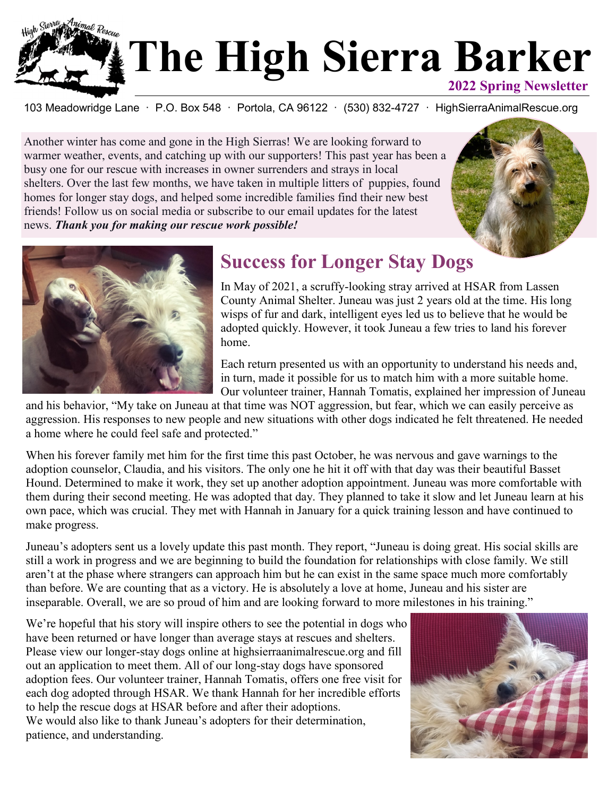

103 Meadowridge Lane · P.O. Box 548 · Portola, CA 96122 · (530) 832-4727 · HighSierraAnimalRescue.org

Another winter has come and gone in the High Sierras! We are looking forward to warmer weather, events, and catching up with our supporters! This past year has been a busy one for our rescue with increases in owner surrenders and strays in local shelters. Over the last few months, we have taken in multiple litters of puppies, found homes for longer stay dogs, and helped some incredible families find their new best friends! Follow us on social media or subscribe to our email updates for the latest news. *Thank you for making our rescue work possible!*





## **Success for Longer Stay Dogs**

In May of 2021, a scruffy-looking stray arrived at HSAR from Lassen County Animal Shelter. Juneau was just 2 years old at the time. His long wisps of fur and dark, intelligent eyes led us to believe that he would be adopted quickly. However, it took Juneau a few tries to land his forever home.

Each return presented us with an opportunity to understand his needs and, in turn, made it possible for us to match him with a more suitable home. Our volunteer trainer, Hannah Tomatis, explained her impression of Juneau

and his behavior, "My take on Juneau at that time was NOT aggression, but fear, which we can easily perceive as aggression. His responses to new people and new situations with other dogs indicated he felt threatened. He needed a home where he could feel safe and protected."

When his forever family met him for the first time this past October, he was nervous and gave warnings to the adoption counselor, Claudia, and his visitors. The only one he hit it off with that day was their beautiful Basset Hound. Determined to make it work, they set up another adoption appointment. Juneau was more comfortable with them during their second meeting. He was adopted that day. They planned to take it slow and let Juneau learn at his own pace, which was crucial. They met with Hannah in January for a quick training lesson and have continued to make progress.

Juneau's adopters sent us a lovely update this past month. They report, "Juneau is doing great. His social skills are still a work in progress and we are beginning to build the foundation for relationships with close family. We still aren't at the phase where strangers can approach him but he can exist in the same space much more comfortably than before. We are counting that as a victory. He is absolutely a love at home, Juneau and his sister are inseparable. Overall, we are so proud of him and are looking forward to more milestones in his training."

We're hopeful that his story will inspire others to see the potential in dogs who have been returned or have longer than average stays at rescues and shelters. Please view our longer-stay dogs online at highsierraanimalrescue.org and fill out an application to meet them. All of our long-stay dogs have sponsored adoption fees. Our volunteer trainer, Hannah Tomatis, offers one free visit for each dog adopted through HSAR. We thank Hannah for her incredible efforts to help the rescue dogs at HSAR before and after their adoptions. We would also like to thank Juneau's adopters for their determination, patience, and understanding.